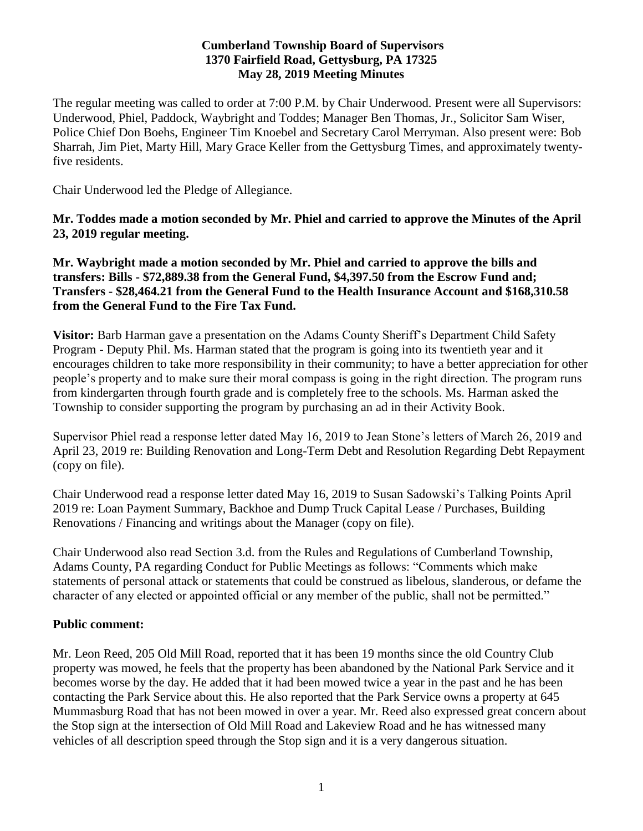## **Cumberland Township Board of Supervisors 1370 Fairfield Road, Gettysburg, PA 17325 May 28, 2019 Meeting Minutes**

The regular meeting was called to order at 7:00 P.M. by Chair Underwood. Present were all Supervisors: Underwood, Phiel, Paddock, Waybright and Toddes; Manager Ben Thomas, Jr., Solicitor Sam Wiser, Police Chief Don Boehs, Engineer Tim Knoebel and Secretary Carol Merryman. Also present were: Bob Sharrah, Jim Piet, Marty Hill, Mary Grace Keller from the Gettysburg Times, and approximately twentyfive residents.

Chair Underwood led the Pledge of Allegiance.

**Mr. Toddes made a motion seconded by Mr. Phiel and carried to approve the Minutes of the April 23, 2019 regular meeting.**

**Mr. Waybright made a motion seconded by Mr. Phiel and carried to approve the bills and transfers: Bills - \$72,889.38 from the General Fund, \$4,397.50 from the Escrow Fund and; Transfers - \$28,464.21 from the General Fund to the Health Insurance Account and \$168,310.58 from the General Fund to the Fire Tax Fund.**

**Visitor:** Barb Harman gave a presentation on the Adams County Sheriff's Department Child Safety Program - Deputy Phil. Ms. Harman stated that the program is going into its twentieth year and it encourages children to take more responsibility in their community; to have a better appreciation for other people's property and to make sure their moral compass is going in the right direction. The program runs from kindergarten through fourth grade and is completely free to the schools. Ms. Harman asked the Township to consider supporting the program by purchasing an ad in their Activity Book.

Supervisor Phiel read a response letter dated May 16, 2019 to Jean Stone's letters of March 26, 2019 and April 23, 2019 re: Building Renovation and Long-Term Debt and Resolution Regarding Debt Repayment (copy on file).

Chair Underwood read a response letter dated May 16, 2019 to Susan Sadowski's Talking Points April 2019 re: Loan Payment Summary, Backhoe and Dump Truck Capital Lease / Purchases, Building Renovations / Financing and writings about the Manager (copy on file).

Chair Underwood also read Section 3.d. from the Rules and Regulations of Cumberland Township, Adams County, PA regarding Conduct for Public Meetings as follows: "Comments which make statements of personal attack or statements that could be construed as libelous, slanderous, or defame the character of any elected or appointed official or any member of the public, shall not be permitted."

# **Public comment:**

Mr. Leon Reed, 205 Old Mill Road, reported that it has been 19 months since the old Country Club property was mowed, he feels that the property has been abandoned by the National Park Service and it becomes worse by the day. He added that it had been mowed twice a year in the past and he has been contacting the Park Service about this. He also reported that the Park Service owns a property at 645 Mummasburg Road that has not been mowed in over a year. Mr. Reed also expressed great concern about the Stop sign at the intersection of Old Mill Road and Lakeview Road and he has witnessed many vehicles of all description speed through the Stop sign and it is a very dangerous situation.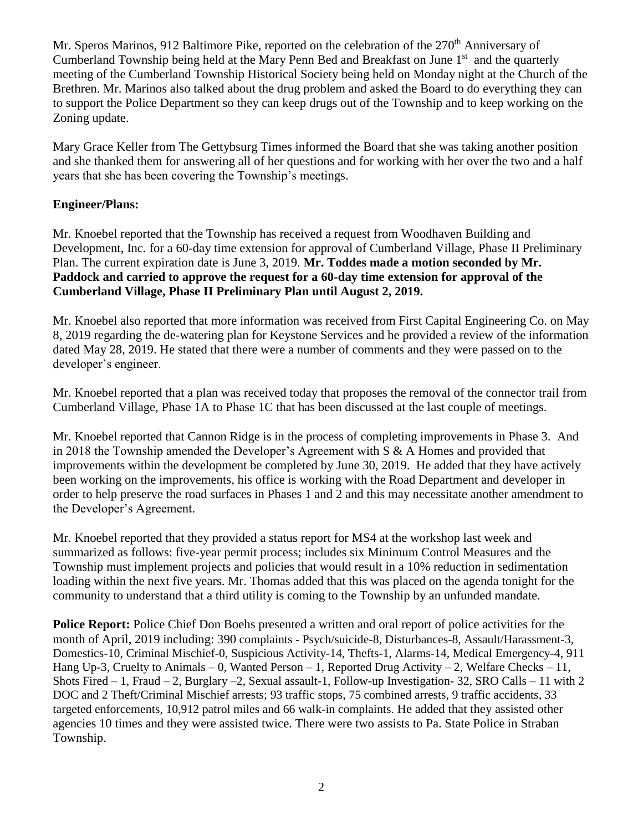Mr. Speros Marinos, 912 Baltimore Pike, reported on the celebration of the 270<sup>th</sup> Anniversary of Cumberland Township being held at the Mary Penn Bed and Breakfast on June  $1<sup>st</sup>$  and the quarterly meeting of the Cumberland Township Historical Society being held on Monday night at the Church of the Brethren. Mr. Marinos also talked about the drug problem and asked the Board to do everything they can to support the Police Department so they can keep drugs out of the Township and to keep working on the Zoning update.

Mary Grace Keller from The Gettybsurg Times informed the Board that she was taking another position and she thanked them for answering all of her questions and for working with her over the two and a half years that she has been covering the Township's meetings.

# **Engineer/Plans:**

Mr. Knoebel reported that the Township has received a request from Woodhaven Building and Development, Inc. for a 60-day time extension for approval of Cumberland Village, Phase II Preliminary Plan. The current expiration date is June 3, 2019. **Mr. Toddes made a motion seconded by Mr. Paddock and carried to approve the request for a 60-day time extension for approval of the Cumberland Village, Phase II Preliminary Plan until August 2, 2019.**

Mr. Knoebel also reported that more information was received from First Capital Engineering Co. on May 8, 2019 regarding the de-watering plan for Keystone Services and he provided a review of the information dated May 28, 2019. He stated that there were a number of comments and they were passed on to the developer's engineer.

Mr. Knoebel reported that a plan was received today that proposes the removal of the connector trail from Cumberland Village, Phase 1A to Phase 1C that has been discussed at the last couple of meetings.

Mr. Knoebel reported that Cannon Ridge is in the process of completing improvements in Phase 3. And in 2018 the Township amended the Developer's Agreement with S & A Homes and provided that improvements within the development be completed by June 30, 2019. He added that they have actively been working on the improvements, his office is working with the Road Department and developer in order to help preserve the road surfaces in Phases 1 and 2 and this may necessitate another amendment to the Developer's Agreement.

Mr. Knoebel reported that they provided a status report for MS4 at the workshop last week and summarized as follows: five-year permit process; includes six Minimum Control Measures and the Township must implement projects and policies that would result in a 10% reduction in sedimentation loading within the next five years. Mr. Thomas added that this was placed on the agenda tonight for the community to understand that a third utility is coming to the Township by an unfunded mandate.

**Police Report:** Police Chief Don Boehs presented a written and oral report of police activities for the month of April, 2019 including: 390 complaints - Psych/suicide-8, Disturbances-8, Assault/Harassment-3, Domestics-10, Criminal Mischief-0, Suspicious Activity-14, Thefts-1, Alarms-14, Medical Emergency-4, 911 Hang Up-3, Cruelty to Animals – 0, Wanted Person – 1, Reported Drug Activity – 2, Welfare Checks – 11, Shots Fired – 1, Fraud – 2, Burglary –2, Sexual assault-1, Follow-up Investigation- 32, SRO Calls – 11 with 2 DOC and 2 Theft/Criminal Mischief arrests; 93 traffic stops, 75 combined arrests, 9 traffic accidents, 33 targeted enforcements, 10,912 patrol miles and 66 walk-in complaints. He added that they assisted other agencies 10 times and they were assisted twice. There were two assists to Pa. State Police in Straban Township.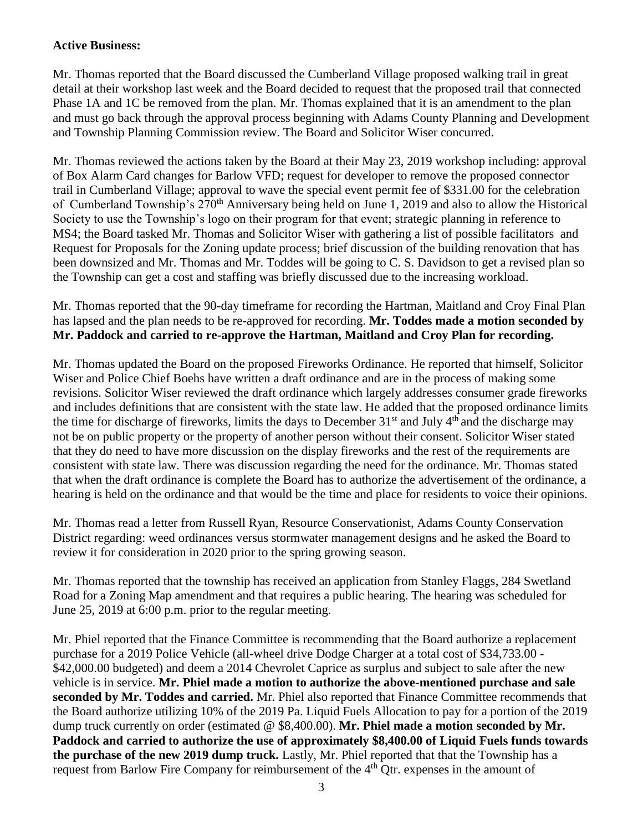# **Active Business:**

Mr. Thomas reported that the Board discussed the Cumberland Village proposed walking trail in great detail at their workshop last week and the Board decided to request that the proposed trail that connected Phase 1A and 1C be removed from the plan. Mr. Thomas explained that it is an amendment to the plan and must go back through the approval process beginning with Adams County Planning and Development and Township Planning Commission review. The Board and Solicitor Wiser concurred.

Mr. Thomas reviewed the actions taken by the Board at their May 23, 2019 workshop including: approval of Box Alarm Card changes for Barlow VFD; request for developer to remove the proposed connector trail in Cumberland Village; approval to wave the special event permit fee of \$331.00 for the celebration of Cumberland Township's 270<sup>th</sup> Anniversary being held on June 1, 2019 and also to allow the Historical Society to use the Township's logo on their program for that event; strategic planning in reference to MS4; the Board tasked Mr. Thomas and Solicitor Wiser with gathering a list of possible facilitators and Request for Proposals for the Zoning update process; brief discussion of the building renovation that has been downsized and Mr. Thomas and Mr. Toddes will be going to C. S. Davidson to get a revised plan so the Township can get a cost and staffing was briefly discussed due to the increasing workload.

Mr. Thomas reported that the 90-day timeframe for recording the Hartman, Maitland and Croy Final Plan has lapsed and the plan needs to be re-approved for recording. **Mr. Toddes made a motion seconded by Mr. Paddock and carried to re-approve the Hartman, Maitland and Croy Plan for recording.**

Mr. Thomas updated the Board on the proposed Fireworks Ordinance. He reported that himself, Solicitor Wiser and Police Chief Boehs have written a draft ordinance and are in the process of making some revisions. Solicitor Wiser reviewed the draft ordinance which largely addresses consumer grade fireworks and includes definitions that are consistent with the state law. He added that the proposed ordinance limits the time for discharge of fireworks, limits the days to December  $31<sup>st</sup>$  and July  $4<sup>th</sup>$  and the discharge may not be on public property or the property of another person without their consent. Solicitor Wiser stated that they do need to have more discussion on the display fireworks and the rest of the requirements are consistent with state law. There was discussion regarding the need for the ordinance. Mr. Thomas stated that when the draft ordinance is complete the Board has to authorize the advertisement of the ordinance, a hearing is held on the ordinance and that would be the time and place for residents to voice their opinions.

Mr. Thomas read a letter from Russell Ryan, Resource Conservationist, Adams County Conservation District regarding: weed ordinances versus stormwater management designs and he asked the Board to review it for consideration in 2020 prior to the spring growing season.

Mr. Thomas reported that the township has received an application from Stanley Flaggs, 284 Swetland Road for a Zoning Map amendment and that requires a public hearing. The hearing was scheduled for June 25, 2019 at 6:00 p.m. prior to the regular meeting.

Mr. Phiel reported that the Finance Committee is recommending that the Board authorize a replacement purchase for a 2019 Police Vehicle (all-wheel drive Dodge Charger at a total cost of \$34,733.00 - \$42,000.00 budgeted) and deem a 2014 Chevrolet Caprice as surplus and subject to sale after the new vehicle is in service. **Mr. Phiel made a motion to authorize the above-mentioned purchase and sale seconded by Mr. Toddes and carried.** Mr. Phiel also reported that Finance Committee recommends that the Board authorize utilizing 10% of the 2019 Pa. Liquid Fuels Allocation to pay for a portion of the 2019 dump truck currently on order (estimated @ \$8,400.00). **Mr. Phiel made a motion seconded by Mr. Paddock and carried to authorize the use of approximately \$8,400.00 of Liquid Fuels funds towards the purchase of the new 2019 dump truck.** Lastly, Mr. Phiel reported that that the Township has a request from Barlow Fire Company for reimbursement of the 4<sup>th</sup> Qtr. expenses in the amount of